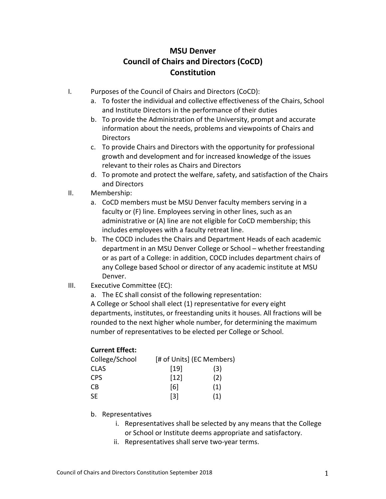## **MSU Denver Council of Chairs and Directors (CoCD) Constitution**

- I. Purposes of the Council of Chairs and Directors (CoCD):
	- a. To foster the individual and collective effectiveness of the Chairs, School and Institute Directors in the performance of their duties
	- b. To provide the Administration of the University, prompt and accurate information about the needs, problems and viewpoints of Chairs and **Directors**
	- c. To provide Chairs and Directors with the opportunity for professional growth and development and for increased knowledge of the issues relevant to their roles as Chairs and Directors
	- d. To promote and protect the welfare, safety, and satisfaction of the Chairs and Directors
- II. Membership:
	- a. CoCD members must be MSU Denver faculty members serving in a faculty or (F) line. Employees serving in other lines, such as an administrative or (A) line are not eligible for CoCD membership; this includes employees with a faculty retreat line.
	- b. The COCD includes the Chairs and Department Heads of each academic department in an MSU Denver College or School – whether freestanding or as part of a College: in addition, COCD includes department chairs of any College based School or director of any academic institute at MSU Denver.
- III. Executive Committee (EC):
	- a. The EC shall consist of the following representation:

A College or School shall elect (1) representative for every eight departments, institutes, or freestanding units it houses. All fractions will be rounded to the next higher whole number, for determining the maximum number of representatives to be elected per College or School.

## **Current Effect:**

| College/School | [# of Units] (EC Members) |     |
|----------------|---------------------------|-----|
| <b>CLAS</b>    | $\lceil 19 \rceil$        | (3) |
| <b>CPS</b>     | $[12]$                    | (2) |
| CB             | [6]                       | (1) |
| SF.            | [3]                       | (1) |

- b. Representatives
	- i. Representatives shall be selected by any means that the College or School or Institute deems appropriate and satisfactory.
	- ii. Representatives shall serve two-year terms.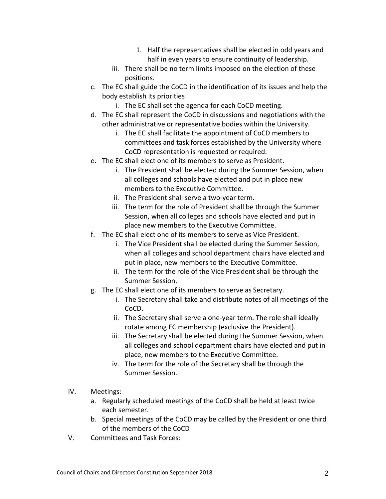- 1. Half the representatives shall be elected in odd years and half in even years to ensure continuity of leadership.
- iii. There shall be no term limits imposed on the election of these positions.
- c. The EC shall guide the CoCD in the identification of its issues and help the body establish its priorities
	- i. The EC shall set the agenda for each CoCD meeting.
- d. The EC shall represent the CoCD in discussions and negotiations with the other administrative or representative bodies within the University.
	- i. The EC shall facilitate the appointment of CoCD members to committees and task forces established by the University where CoCD representation is requested or required.
- e. The EC shall elect one of its members to serve as President.
	- i. The President shall be elected during the Summer Session, when all colleges and schools have elected and put in place new members to the Executive Committee.
	- ii. The President shall serve a two-year term.
	- iii. The term for the role of President shall be through the Summer Session, when all colleges and schools have elected and put in place new members to the Executive Committee.
- f. The EC shall elect one of its members to serve as Vice President.
	- i. The Vice President shall be elected during the Summer Session, when all colleges and school department chairs have elected and put in place, new members to the Executive Committee.
	- ii. The term for the role of the Vice President shall be through the Summer Session.
- g. The EC shall elect one of its members to serve as Secretary.
	- i. The Secretary shall take and distribute notes of all meetings of the CoCD.
	- ii. The Secretary shall serve a one-year term. The role shall ideally rotate among EC membership (exclusive the President).
	- iii. The Secretary shall be elected during the Summer Session, when all colleges and school department chairs have elected and put in place, new members to the Executive Committee.
	- iv. The term for the role of the Secretary shall be through the Summer Session.
- IV. Meetings:
	- a. Regularly scheduled meetings of the CoCD shall be held at least twice each semester.
	- b. Special meetings of the CoCD may be called by the President or one third of the members of the CoCD
- V. Committees and Task Forces: